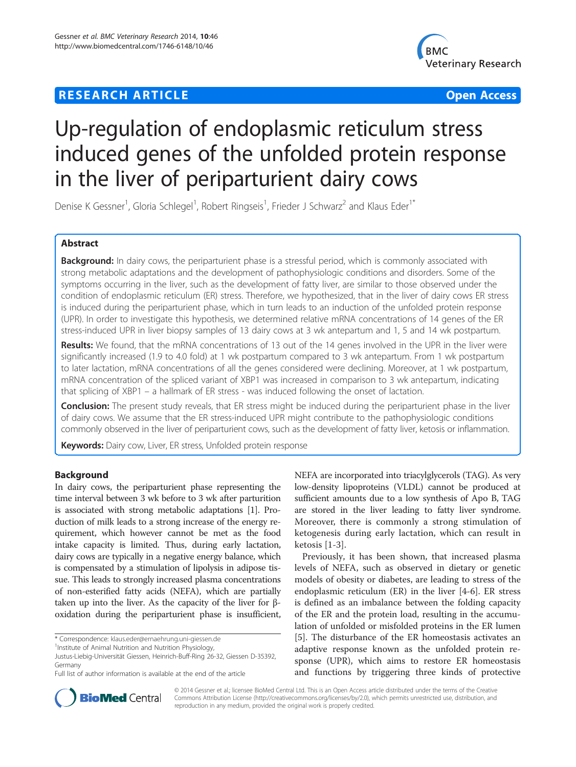# **RESEARCH ARTICLE Example 2014 12:30 The Contract of Contract Contract Contract Contract Contract Contract Contract Contract Contract Contract Contract Contract Contract Contract Contract Contract Contract Contract Contr**



# Up-regulation of endoplasmic reticulum stress induced genes of the unfolded protein response in the liver of periparturient dairy cows

Denise K Gessner<sup>1</sup>, Gloria Schlegel<sup>1</sup>, Robert Ringseis<sup>1</sup>, Frieder J Schwarz<sup>2</sup> and Klaus Eder<sup>1\*</sup>

# Abstract

Background: In dairy cows, the periparturient phase is a stressful period, which is commonly associated with strong metabolic adaptations and the development of pathophysiologic conditions and disorders. Some of the symptoms occurring in the liver, such as the development of fatty liver, are similar to those observed under the condition of endoplasmic reticulum (ER) stress. Therefore, we hypothesized, that in the liver of dairy cows ER stress is induced during the periparturient phase, which in turn leads to an induction of the unfolded protein response (UPR). In order to investigate this hypothesis, we determined relative mRNA concentrations of 14 genes of the ER stress-induced UPR in liver biopsy samples of 13 dairy cows at 3 wk antepartum and 1, 5 and 14 wk postpartum.

Results: We found, that the mRNA concentrations of 13 out of the 14 genes involved in the UPR in the liver were significantly increased (1.9 to 4.0 fold) at 1 wk postpartum compared to 3 wk antepartum. From 1 wk postpartum to later lactation, mRNA concentrations of all the genes considered were declining. Moreover, at 1 wk postpartum, mRNA concentration of the spliced variant of XBP1 was increased in comparison to 3 wk antepartum, indicating that splicing of XBP1 – a hallmark of ER stress - was induced following the onset of lactation.

**Conclusion:** The present study reveals, that ER stress might be induced during the periparturient phase in the liver of dairy cows. We assume that the ER stress-induced UPR might contribute to the pathophysiologic conditions commonly observed in the liver of periparturient cows, such as the development of fatty liver, ketosis or inflammation.

Keywords: Dairy cow, Liver, ER stress, Unfolded protein response

# Background

In dairy cows, the periparturient phase representing the time interval between 3 wk before to 3 wk after parturition is associated with strong metabolic adaptations [[1\]](#page-7-0). Production of milk leads to a strong increase of the energy requirement, which however cannot be met as the food intake capacity is limited. Thus, during early lactation, dairy cows are typically in a negative energy balance, which is compensated by a stimulation of lipolysis in adipose tissue. This leads to strongly increased plasma concentrations of non-esterified fatty acids (NEFA), which are partially taken up into the liver. As the capacity of the liver for βoxidation during the periparturient phase is insufficient,



Previously, it has been shown, that increased plasma levels of NEFA, such as observed in dietary or genetic models of obesity or diabetes, are leading to stress of the endoplasmic reticulum (ER) in the liver [\[4-6](#page-7-0)]. ER stress is defined as an imbalance between the folding capacity of the ER and the protein load, resulting in the accumulation of unfolded or misfolded proteins in the ER lumen [[5\]](#page-7-0). The disturbance of the ER homeostasis activates an adaptive response known as the unfolded protein response (UPR), which aims to restore ER homeostasis and functions by triggering three kinds of protective



© 2014 Gessner et al.; licensee BioMed Central Ltd. This is an Open Access article distributed under the terms of the Creative Commons Attribution License [\(http://creativecommons.org/licenses/by/2.0\)](http://creativecommons.org/licenses/by/2.0), which permits unrestricted use, distribution, and reproduction in any medium, provided the original work is properly credited.

<sup>\*</sup> Correspondence: [klaus.eder@ernaehrung.uni-giessen.de](mailto:klaus.eder@ernaehrung.uni-giessen.de) <sup>1</sup>

<sup>&</sup>lt;sup>1</sup>Institute of Animal Nutrition and Nutrition Physiology,

Justus-Liebig-Universität Giessen, Heinrich-Buff-Ring 26-32, Giessen D-35392, Germany

Full list of author information is available at the end of the article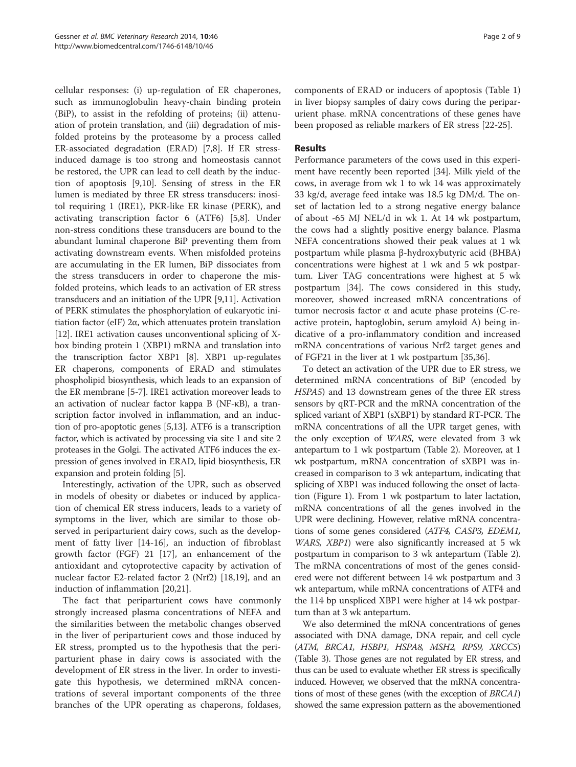cellular responses: (i) up-regulation of ER chaperones, such as immunoglobulin heavy-chain binding protein (BiP), to assist in the refolding of proteins; (ii) attenuation of protein translation, and (iii) degradation of misfolded proteins by the proteasome by a process called ER-associated degradation (ERAD) [[7,8\]](#page-7-0). If ER stressinduced damage is too strong and homeostasis cannot be restored, the UPR can lead to cell death by the induction of apoptosis [[9,10\]](#page-7-0). Sensing of stress in the ER lumen is mediated by three ER stress transducers: inositol requiring 1 (IRE1), PKR-like ER kinase (PERK), and activating transcription factor 6 (ATF6) [\[5,8](#page-7-0)]. Under non-stress conditions these transducers are bound to the abundant luminal chaperone BiP preventing them from activating downstream events. When misfolded proteins are accumulating in the ER lumen, BiP dissociates from the stress transducers in order to chaperone the misfolded proteins, which leads to an activation of ER stress transducers and an initiation of the UPR [[9,11](#page-7-0)]. Activation of PERK stimulates the phosphorylation of eukaryotic initiation factor (eIF) 2α, which attenuates protein translation [[12](#page-7-0)]. IRE1 activation causes unconventional splicing of Xbox binding protein 1 (XBP1) mRNA and translation into the transcription factor XBP1 [\[8](#page-7-0)]. XBP1 up-regulates ER chaperons, components of ERAD and stimulates phospholipid biosynthesis, which leads to an expansion of the ER membrane [[5-7\]](#page-7-0). IRE1 activation moreover leads to an activation of nuclear factor kappa B (NF-κB), a transcription factor involved in inflammation, and an induction of pro-apoptotic genes [\[5,13](#page-7-0)]. ATF6 is a transcription factor, which is activated by processing via site 1 and site 2 proteases in the Golgi. The activated ATF6 induces the expression of genes involved in ERAD, lipid biosynthesis, ER expansion and protein folding [[5\]](#page-7-0).

Interestingly, activation of the UPR, such as observed in models of obesity or diabetes or induced by application of chemical ER stress inducers, leads to a variety of symptoms in the liver, which are similar to those observed in periparturient dairy cows, such as the development of fatty liver [[14-16\]](#page-7-0), an induction of fibroblast growth factor (FGF) 21 [[17\]](#page-7-0), an enhancement of the antioxidant and cytoprotective capacity by activation of nuclear factor E2-related factor 2 (Nrf2) [\[18,19](#page-7-0)], and an induction of inflammation [[20](#page-7-0),[21](#page-7-0)].

The fact that periparturient cows have commonly strongly increased plasma concentrations of NEFA and the similarities between the metabolic changes observed in the liver of periparturient cows and those induced by ER stress, prompted us to the hypothesis that the periparturient phase in dairy cows is associated with the development of ER stress in the liver. In order to investigate this hypothesis, we determined mRNA concentrations of several important components of the three branches of the UPR operating as chaperons, foldases, components of ERAD or inducers of apoptosis (Table [1](#page-2-0)) in liver biopsy samples of dairy cows during the periparurient phase. mRNA concentrations of these genes have been proposed as reliable markers of ER stress [[22-25\]](#page-7-0).

#### **Results**

Performance parameters of the cows used in this experiment have recently been reported [[34\]](#page-7-0). Milk yield of the cows, in average from wk 1 to wk 14 was approximately 33 kg/d, average feed intake was 18.5 kg DM/d. The onset of lactation led to a strong negative energy balance of about -65 MJ NEL/d in wk 1. At 14 wk postpartum, the cows had a slightly positive energy balance. Plasma NEFA concentrations showed their peak values at 1 wk postpartum while plasma β-hydroxybutyric acid (BHBA) concentrations were highest at 1 wk and 5 wk postpartum. Liver TAG concentrations were highest at 5 wk postpartum [[34\]](#page-7-0). The cows considered in this study, moreover, showed increased mRNA concentrations of tumor necrosis factor α and acute phase proteins (C-reactive protein, haptoglobin, serum amyloid A) being indicative of a pro-inflammatory condition and increased mRNA concentrations of various Nrf2 target genes and of FGF21 in the liver at 1 wk postpartum [[35](#page-7-0),[36](#page-7-0)].

To detect an activation of the UPR due to ER stress, we determined mRNA concentrations of BiP (encoded by HSPA5) and 13 downstream genes of the three ER stress sensors by qRT-PCR and the mRNA concentration of the spliced variant of XBP1 (sXBP1) by standard RT-PCR. The mRNA concentrations of all the UPR target genes, with the only exception of WARS, were elevated from 3 wk antepartum to 1 wk postpartum (Table [2\)](#page-2-0). Moreover, at 1 wk postpartum, mRNA concentration of sXBP1 was increased in comparison to 3 wk antepartum, indicating that splicing of XBP1 was induced following the onset of lactation (Figure [1](#page-3-0)). From 1 wk postpartum to later lactation, mRNA concentrations of all the genes involved in the UPR were declining. However, relative mRNA concentrations of some genes considered (ATF4, CASP3, EDEM1, WARS, XBP1) were also significantly increased at 5 wk postpartum in comparison to 3 wk antepartum (Table [2](#page-2-0)). The mRNA concentrations of most of the genes considered were not different between 14 wk postpartum and 3 wk antepartum, while mRNA concentrations of ATF4 and the 114 bp unspliced XBP1 were higher at 14 wk postpartum than at 3 wk antepartum.

We also determined the mRNA concentrations of genes associated with DNA damage, DNA repair, and cell cycle (ATM, BRCA1, HSBP1, HSPA8, MSH2, RPS9, XRCC5) (Table [3](#page-3-0)). Those genes are not regulated by ER stress, and thus can be used to evaluate whether ER stress is specifically induced. However, we observed that the mRNA concentrations of most of these genes (with the exception of BRCA1) showed the same expression pattern as the abovementioned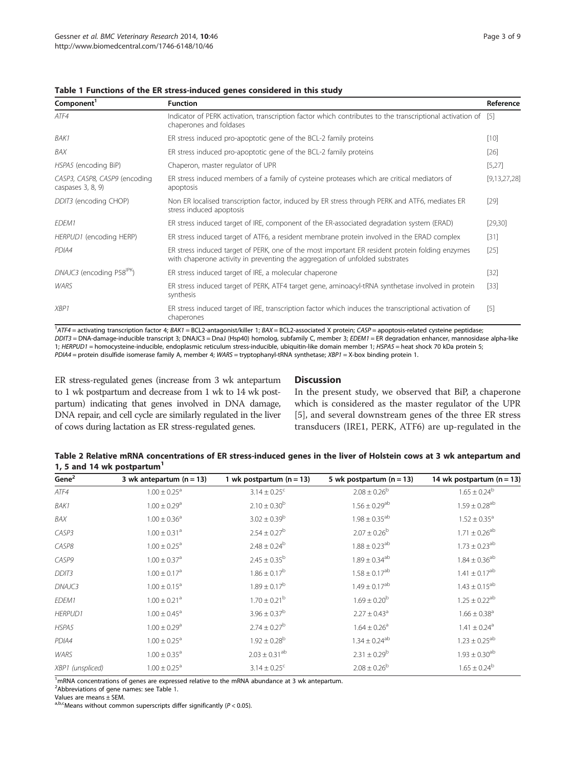| Component <sup>1</sup>                              | <b>Function</b>                                                                                                                                                                 | Reference    |
|-----------------------------------------------------|---------------------------------------------------------------------------------------------------------------------------------------------------------------------------------|--------------|
| ATF4                                                | Indicator of PERK activation, transcription factor which contributes to the transcriptional activation of [5]<br>chaperones and foldases                                        |              |
| BAK1                                                | ER stress induced pro-apoptotic gene of the BCL-2 family proteins                                                                                                               | $[10]$       |
| BAX                                                 | ER stress induced pro-apoptotic gene of the BCL-2 family proteins                                                                                                               | $[26]$       |
| HSPA5 (encoding BiP)                                | Chaperon, master regulator of UPR                                                                                                                                               | [5,27]       |
| CASP3, CASP8, CASP9 (encoding<br>caspases $3, 8, 9$ | ER stress induced members of a family of cysteine proteases which are critical mediators of<br>apoptosis                                                                        | [9,13,27,28] |
| DDIT3 (encoding CHOP)                               | Non ER localised transcription factor, induced by ER stress through PERK and ATF6, mediates ER<br>stress induced apoptosis                                                      | $[29]$       |
| EDEM1                                               | ER stress induced target of IRE, component of the ER-associated degradation system (ERAD)                                                                                       | [29, 30]     |
| HERPUD1 (encoding HERP)                             | ER stress induced target of ATF6, a resident membrane protein involved in the ERAD complex                                                                                      | $[31]$       |
| PDIA4                                               | ER stress induced target of PERK, one of the most important ER resident protein folding enzymes<br>with chaperone activity in preventing the aggregation of unfolded substrates | $[25]$       |
| DNAJC3 (encoding P58 <sup>IPK</sup> )               | ER stress induced target of IRE, a molecular chaperone                                                                                                                          | $[32]$       |
| <b>WARS</b>                                         | ER stress induced target of PERK, ATF4 target gene, aminoacyl-tRNA synthetase involved in protein<br>synthesis                                                                  | $[33]$       |
| XBP1                                                | ER stress induced target of IRE, transcription factor which induces the transcriptional activation of<br>chaperones                                                             | $[5]$        |

<span id="page-2-0"></span>Table 1 Functions of the ER stress-induced genes considered in this study

<sup>1</sup>ATF4 = activating transcription factor 4; BAK1 = BCL2-antagonist/killer 1; BAX = BCL2-associated X protein; CASP = apoptosis-related cysteine peptidase DDIT3 = DNA-damage-inducible transcript 3; DNAJC3 = DnaJ (Hsp40) homolog, subfamily C, member 3; EDEM1 = ER degradation enhancer, mannosidase alpha-like 1; HERPUD1 = homocysteine-inducible, endoplasmic reticulum stress-inducible, ubiquitin-like domain member 1; HSPA5 = heat shock 70 kDa protein 5; PDIA4 = protein disulfide isomerase family A, member 4; WARS = tryptophanyl-tRNA synthetase; XBP1 = X-box binding protein 1.

ER stress-regulated genes (increase from 3 wk antepartum to 1 wk postpartum and decrease from 1 wk to 14 wk postpartum) indicating that genes involved in DNA damage, DNA repair, and cell cycle are similarly regulated in the liver of cows during lactation as ER stress-regulated genes.

# **Discussion**

In the present study, we observed that BiP, a chaperone which is considered as the master regulator of the UPR [[5\]](#page-7-0), and several downstream genes of the three ER stress transducers (IRE1, PERK, ATF6) are up-regulated in the

| Table 2 Relative mRNA concentrations of ER stress-induced genes in the liver of Holstein cows at 3 wk antepartum and |  |
|----------------------------------------------------------------------------------------------------------------------|--|
| 1, 5 and 14 wk postpartum <sup>1</sup>                                                                               |  |

| Gene $2$          | 3 wk antepartum $(n = 13)$   | 1 wk postpartum $(n = 13)$   | 5 wk postpartum $(n = 13)$    | 14 wk postpartum $(n = 13)$  |
|-------------------|------------------------------|------------------------------|-------------------------------|------------------------------|
| ATF4              | $1.00 \pm 0.25$ <sup>a</sup> | $3.14 \pm 0.25$ <sup>c</sup> | $2.08 \pm 0.26^b$             | $1.65 \pm 0.24^b$            |
| BAK1              | $1.00 \pm 0.29$ <sup>a</sup> | $2.10 \pm 0.30^b$            | $1.56 \pm 0.29$ <sup>ab</sup> | $1.59 \pm 0.28^{ab}$         |
| BAX               | $1.00 \pm 0.36^a$            | $3.02 \pm 0.39^b$            | $1.98 \pm 0.35^{ab}$          | $1.52 \pm 0.35^a$            |
| CASP3             | $1.00 \pm 0.31$ <sup>a</sup> | $2.54 \pm 0.27^b$            | $2.07 \pm 0.26^{\rm b}$       | $1.71 \pm 0.26^{ab}$         |
| CASP8             | $1.00 \pm 0.25$ <sup>a</sup> | $2.48 \pm 0.24^b$            | $1.88 \pm 0.23$ <sup>ab</sup> | $1.73 \pm 0.23^{ab}$         |
| CASP9             | $1.00 \pm 0.37$ <sup>a</sup> | $2.45 \pm 0.35^{\rm b}$      | $1.89 \pm 0.34^{ab}$          | $1.84 \pm 0.36^{ab}$         |
| DDIT <sub>3</sub> | $1.00 \pm 0.17$ <sup>a</sup> | $1.86 \pm 0.17^b$            | $1.58 \pm 0.17^{ab}$          | $1.41 \pm 0.17^{ab}$         |
| DNAJC3            | $1.00 \pm 0.15^a$            | $1.89 \pm 0.17^b$            | $1.49 \pm 0.17$ <sup>ab</sup> | $1.43 \pm 0.15^{ab}$         |
| EDEM1             | $1.00 \pm 0.21$ <sup>a</sup> | $1.70 \pm 0.21^{\rm b}$      | $1.69 \pm 0.20^{\rm b}$       | $1.25 \pm 0.22^{ab}$         |
| <b>HERPUD1</b>    | $1.00 \pm 0.45$ <sup>a</sup> | $3.96 \pm 0.37^b$            | $2.27 \pm 0.43$ <sup>a</sup>  | $1.66 \pm 0.38$ <sup>a</sup> |
| HSPA5             | $1.00 \pm 0.29$ <sup>a</sup> | $2.74 \pm 0.27^b$            | $1.64 \pm 0.26$ <sup>a</sup>  | $1.41 \pm 0.24$ <sup>a</sup> |
| PDIA4             | $1.00 \pm 0.25$ <sup>a</sup> | $1.92 \pm 0.28$ <sup>b</sup> | $1.34 \pm 0.24^{ab}$          | $1.23 \pm 0.25^{ab}$         |
| <b>WARS</b>       | $1.00 \pm 0.35$ <sup>a</sup> | $2.03 \pm 0.31^{ab}$         | $2.31 \pm 0.29^b$             | $1.93 \pm 0.30^{ab}$         |
| XBP1 (unspliced)  | $1.00 \pm 0.25$ <sup>a</sup> | $3.14 \pm 0.25$ <sup>c</sup> | $2.08 \pm 0.26^b$             | $1.65 \pm 0.24^b$            |

<sup>1</sup>mRNA concentrations of genes are expressed relative to the mRNA abundance at 3 wk antepartum.

<sup>2</sup>Abbreviations of gene names: see Table 1.

a,b,cMeans without common superscripts differ significantly ( $P < 0.05$ ).

Values are means ± SEM.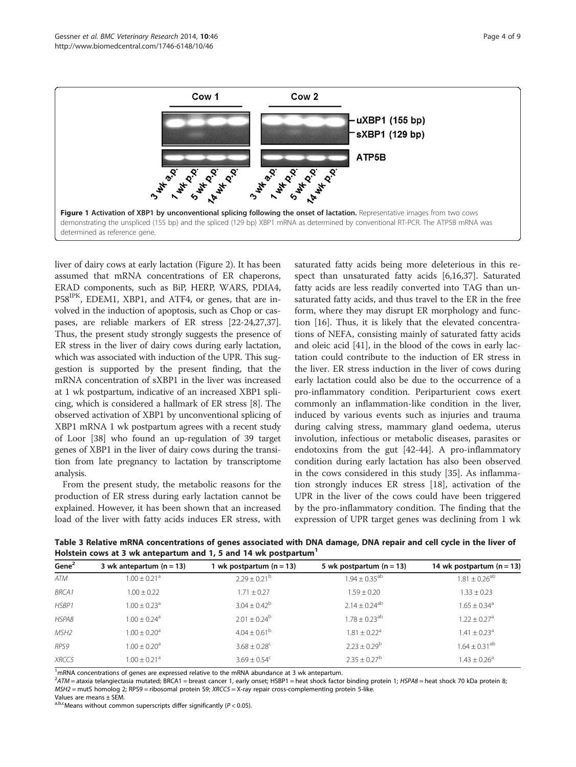<span id="page-3-0"></span>

liver of dairy cows at early lactation (Figure [2](#page-4-0)). It has been assumed that mRNA concentrations of ER chaperons, ERAD components, such as BiP, HERP, WARS, PDIA4, P58IPK, EDEM1, XBP1, and ATF4, or genes, that are involved in the induction of apoptosis, such as Chop or caspases, are reliable markers of ER stress [\[22-24,27,37](#page-7-0)]. Thus, the present study strongly suggests the presence of ER stress in the liver of dairy cows during early lactation, which was associated with induction of the UPR. This suggestion is supported by the present finding, that the mRNA concentration of sXBP1 in the liver was increased at 1 wk postpartum, indicative of an increased XBP1 splicing, which is considered a hallmark of ER stress [\[8](#page-7-0)]. The observed activation of XBP1 by unconventional splicing of XBP1 mRNA 1 wk postpartum agrees with a recent study of Loor [\[38\]](#page-7-0) who found an up-regulation of 39 target genes of XBP1 in the liver of dairy cows during the transition from late pregnancy to lactation by transcriptome analysis.

From the present study, the metabolic reasons for the production of ER stress during early lactation cannot be explained. However, it has been shown that an increased load of the liver with fatty acids induces ER stress, with saturated fatty acids being more deleterious in this respect than unsaturated fatty acids [\[6,16,37](#page-7-0)]. Saturated fatty acids are less readily converted into TAG than unsaturated fatty acids, and thus travel to the ER in the free form, where they may disrupt ER morphology and function [\[16](#page-7-0)]. Thus, it is likely that the elevated concentrations of NEFA, consisting mainly of saturated fatty acids and oleic acid [[41\]](#page-7-0), in the blood of the cows in early lactation could contribute to the induction of ER stress in the liver. ER stress induction in the liver of cows during early lactation could also be due to the occurrence of a pro-inflammatory condition. Periparturient cows exert commonly an inflammation-like condition in the liver, induced by various events such as injuries and trauma during calving stress, mammary gland oedema, uterus involution, infectious or metabolic diseases, parasites or endotoxins from the gut [[42-44](#page-7-0)]. A pro-inflammatory condition during early lactation has also been observed in the cows considered in this study [\[35](#page-7-0)]. As inflammation strongly induces ER stress [[18\]](#page-7-0), activation of the UPR in the liver of the cows could have been triggered by the pro-inflammatory condition. The finding that the expression of UPR target genes was declining from 1 wk

Table 3 Relative mRNA concentrations of genes associated with DNA damage, DNA repair and cell cycle in the liver of Holstein cows at 3 wk antepartum and 1, 5 and 14 wk postpartum<sup>1</sup>

| Gene <sup>2</sup> | 3 wk antepartum $(n = 13)$   | 1 wk postpartum (n = 13)     | 5 wk postpartum $(n = 13)$    | 14 wk postpartum $(n = 13)$   |
|-------------------|------------------------------|------------------------------|-------------------------------|-------------------------------|
| ATM               | $1.00 \pm 0.21$ <sup>a</sup> | $2.29 \pm 0.21^{\rm b}$      | $1.94 \pm 0.35$ <sup>ab</sup> | $1.81 \pm 0.26^{ab}$          |
| <b>BRCA1</b>      | $1.00 \pm 0.22$              | $1.71 \pm 0.27$              | $1.59 \pm 0.20$               | $1.33 \pm 0.23$               |
| HSBP1             | $1.00 \pm 0.23$ <sup>a</sup> | $3.04 \pm 0.42^b$            | $2.14 + 0.24^{ab}$            | $1.65 \pm 0.34$ <sup>a</sup>  |
| HSPA8             | $1.00 + 0.24$ <sup>a</sup>   | $2.01 \pm 0.24^{\rm b}$      | $1.78 + 0.23^{ab}$            | $1.22 \pm 0.27$ <sup>a</sup>  |
| MSH <sub>2</sub>  | $1.00 + 0.20$ <sup>a</sup>   | $4.04 \pm 0.61^{\circ}$      | $1.81 \pm 0.22$ <sup>a</sup>  | $1.41 \pm 0.23$ <sup>a</sup>  |
| RPS9              | $1.00 \pm 0.20$ <sup>a</sup> | $3.68 \pm 0.28$ <sup>c</sup> | $2.23 \pm 0.29^b$             | $1.64 \pm 0.31$ <sup>ab</sup> |
| XRCC5             | $1.00 + 0.21$ <sup>a</sup>   | $3.69 \pm 0.54^{\circ}$      | $2.35 + 0.27^b$               | $1.43 \pm 0.26^{\circ}$       |

 $1$ mRNA concentrations of genes are expressed relative to the mRNA abundance at 3 wk antepartum.

<sup>2</sup>ATM = ataxia telangiectasia mutated; BRCA1 = breast cancer 1, early onset; HSBP1 = heat shock factor binding protein 1; HSPA8 = heat shock 70 kDa protein 8; MSH2 = mutS homolog 2; RPS9 = ribosomal protein S9; XRCC5 = X-ray repair cross-complementing protein 5-like.

Values are means ± SEM.

a,b,cMeans without common superscripts differ significantly ( $P < 0.05$ ).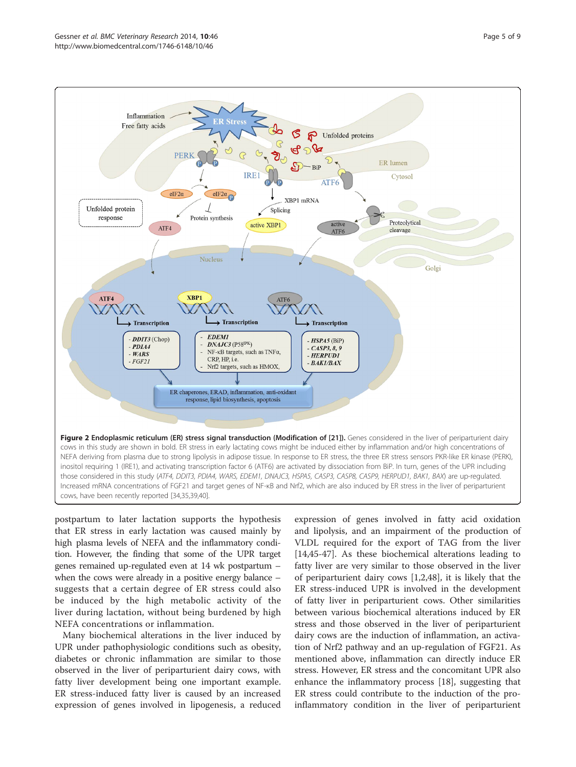<span id="page-4-0"></span>

postpartum to later lactation supports the hypothesis that ER stress in early lactation was caused mainly by high plasma levels of NEFA and the inflammatory condition. However, the finding that some of the UPR target genes remained up-regulated even at 14 wk postpartum – when the cows were already in a positive energy balance – suggests that a certain degree of ER stress could also be induced by the high metabolic activity of the liver during lactation, without being burdened by high NEFA concentrations or inflammation.

Many biochemical alterations in the liver induced by UPR under pathophysiologic conditions such as obesity, diabetes or chronic inflammation are similar to those observed in the liver of periparturient dairy cows, with fatty liver development being one important example. ER stress-induced fatty liver is caused by an increased expression of genes involved in lipogenesis, a reduced expression of genes involved in fatty acid oxidation and lipolysis, and an impairment of the production of VLDL required for the export of TAG from the liver [[14,45-47\]](#page-7-0). As these biochemical alterations leading to fatty liver are very similar to those observed in the liver of periparturient dairy cows [\[1,2,48](#page-7-0)], it is likely that the ER stress-induced UPR is involved in the development of fatty liver in periparturient cows. Other similarities between various biochemical alterations induced by ER stress and those observed in the liver of periparturient dairy cows are the induction of inflammation, an activation of Nrf2 pathway and an up-regulation of FGF21. As mentioned above, inflammation can directly induce ER stress. However, ER stress and the concomitant UPR also enhance the inflammatory process [\[18](#page-7-0)], suggesting that ER stress could contribute to the induction of the proinflammatory condition in the liver of periparturient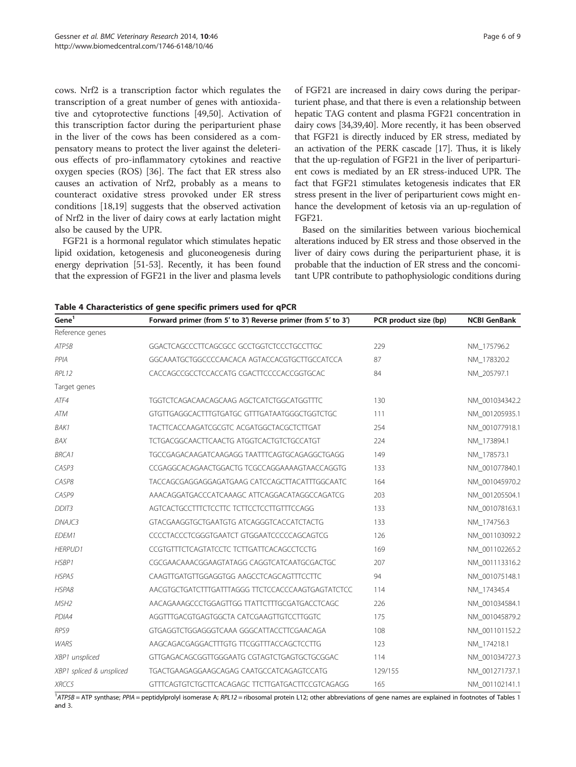<span id="page-5-0"></span>cows. Nrf2 is a transcription factor which regulates the transcription of a great number of genes with antioxidative and cytoprotective functions [[49,50\]](#page-8-0). Activation of this transcription factor during the periparturient phase in the liver of the cows has been considered as a compensatory means to protect the liver against the deleterious effects of pro-inflammatory cytokines and reactive oxygen species (ROS) [\[36](#page-7-0)]. The fact that ER stress also causes an activation of Nrf2, probably as a means to counteract oxidative stress provoked under ER stress conditions [[18](#page-7-0),[19](#page-7-0)] suggests that the observed activation of Nrf2 in the liver of dairy cows at early lactation might also be caused by the UPR.

FGF21 is a hormonal regulator which stimulates hepatic lipid oxidation, ketogenesis and gluconeogenesis during energy deprivation [\[51-53\]](#page-8-0). Recently, it has been found that the expression of FGF21 in the liver and plasma levels

of FGF21 are increased in dairy cows during the periparturient phase, and that there is even a relationship between hepatic TAG content and plasma FGF21 concentration in dairy cows [\[34,39,40](#page-7-0)]. More recently, it has been observed that FGF21 is directly induced by ER stress, mediated by an activation of the PERK cascade [\[17\]](#page-7-0). Thus, it is likely that the up-regulation of FGF21 in the liver of periparturient cows is mediated by an ER stress-induced UPR. The fact that FGF21 stimulates ketogenesis indicates that ER stress present in the liver of periparturient cows might enhance the development of ketosis via an up-regulation of FGF21.

Based on the similarities between various biochemical alterations induced by ER stress and those observed in the liver of dairy cows during the periparturient phase, it is probable that the induction of ER stress and the concomitant UPR contribute to pathophysiologic conditions during

| Gene <sup>1</sup>        | Forward primer (from 5' to 3') Reverse primer (from 5' to 3') | PCR product size (bp) | <b>NCBI GenBank</b> |
|--------------------------|---------------------------------------------------------------|-----------------------|---------------------|
| Reference genes          |                                                               |                       |                     |
| ATP5B                    | GGACTCAGCCCTTCAGCGCC GCCTGGTCTCCCTGCCTTGC                     | 229                   | NM 175796.2         |
| PPIA                     | GGCAAATGCTGGCCCCAACACA AGTACCACGTGCTTGCCATCCA                 | 87                    | NM_178320.2         |
| RPL12                    | CACCAGCCGCCTCCACCATG CGACTTCCCCACCGGTGCAC                     | 84                    | NM 205797.1         |
| Target genes             |                                                               |                       |                     |
| ATF4                     | TGGTCTCAGACAACAGCAAG AGCTCATCTGGCATGGTTTC                     | 130                   | NM_001034342.2      |
| ATM                      | GTGTTGAGGCACTTTGTGATGC GTTTGATAATGGGCTGGTCTGC                 | 111                   | NM 001205935.1      |
| <b>BAK1</b>              | TACTTCACCAAGATCGCGTC ACGATGGCTACGCTCTTGAT                     | 254                   | NM 001077918.1      |
| <b>BAX</b>               | TCTGACGGCAACTTCAACTG ATGGTCACTGTCTGCCATGT                     | 224                   | NM_173894.1         |
| <b>BRCA1</b>             | TGCCGAGACAAGATCAAGAGG TAATTTCAGTGCAGAGGCTGAGG                 | 149                   | NM_178573.1         |
| CASP3                    | CCGAGGCACAGAACTGGACTG TCGCCAGGAAAAGTAACCAGGTG                 | 133                   | NM_001077840.1      |
| CASP8                    | TACCAGCGAGGAGGAGATGAAG CATCCAGCTTACATTTGGCAATC                | 164                   | NM 001045970.2      |
| CASP9                    | AAACAGGATGACCCATCAAAGC ATTCAGGACATAGGCCAGATCG                 | 203                   | NM 001205504.1      |
| DDIT <sub>3</sub>        | AGTCACTGCCTTTCTCCTTC TCTTCCTCCTTGTTTCCAGG                     | 133                   | NM_001078163.1      |
| DNAJC3                   | GTACGAAGGTGCTGAATGTG ATCAGGGTCACCATCTACTG                     | 133                   | NM_174756.3         |
| EDEM1                    | CCCCTACCCTCGGGTGAATCT GTGGAATCCCCCAGCAGTCG                    | 126                   | NM 001103092.2      |
| <b>HERPUD1</b>           | CCGTGTTTCTCAGTATCCTC TCTTGATTCACAGCCTCCTG                     | 169                   | NM_001102265.2      |
| HSBP1                    | CGCGAACAAACGGAAGTATAGG CAGGTCATCAATGCGACTGC                   | 207                   | NM 001113316.2      |
| HSPA5                    | CAAGTTGATGTTGGAGGTGG AAGCCTCAGCAGTTTCCTTC                     | 94                    | NM 001075148.1      |
| HSPA8                    | AACGTGCTGATCTTTGATTTAGGG TTCTCCACCCAAGTGAGTATCTCC             | 114                   | NM_174345.4         |
| MSH <sub>2</sub>         | AACAGAAAGCCCTGGAGTTGG TTATTCTTTGCGATGACCTCAGC                 | 226                   | NM_001034584.1      |
| PDIA4                    | AGGTTTGACGTGAGTGGCTA CATCGAAGTTGTCCTTGGTC                     | 175                   | NM_001045879.2      |
| RPS9                     | GTGAGGTCTGGAGGGTCAAA GGGCATTACCTTCGAACAGA                     | 108                   | NM_001101152.2      |
| <b>WARS</b>              | AAGCAGACGAGGACTTTGTG TTCGGTTTACCAGCTCCTTG                     | 123                   | NM 174218.1         |
| XBP1 unspliced           | GTTGAGACAGCGGTTGGGAATG CGTAGTCTGAGTGCTGCGGAC                  | 114                   | NM 001034727.3      |
| XBP1 spliced & unspliced | TGACTGAAGAGGAAGCAGAG CAATGCCATCAGAGTCCATG                     | 129/155               | NM 001271737.1      |
| XRCC5                    | GTTTCAGTGTCTGCTTCACAGAGC TTCTTGATGACTTCCGTCAGAGG              | 165                   | NM 001102141.1      |

Table 4 Characteristics of gene specific primers used for qPCR

<sup>[1](#page-2-0)</sup>ATP5B = ATP synthase; PPIA = peptidylprolyl isomerase A; RPL12 = ribosomal protein L12; other abbreviations of gene names are explained in footnotes of Tables 1 and [3.](#page-3-0)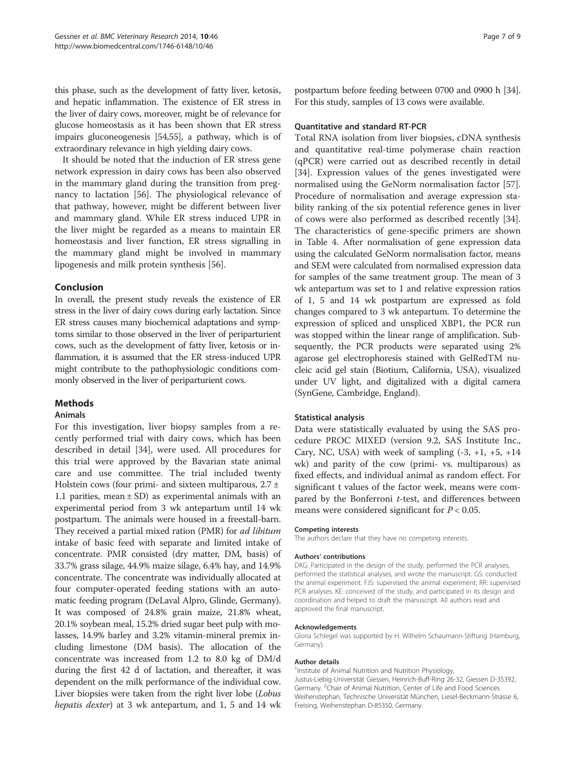this phase, such as the development of fatty liver, ketosis, and hepatic inflammation. The existence of ER stress in the liver of dairy cows, moreover, might be of relevance for glucose homeostasis as it has been shown that ER stress impairs gluconeogenesis [\[54,55](#page-8-0)], a pathway, which is of extraordinary relevance in high yielding dairy cows.

It should be noted that the induction of ER stress gene network expression in dairy cows has been also observed in the mammary gland during the transition from pregnancy to lactation [[56](#page-8-0)]. The physiological relevance of that pathway, however, might be different between liver and mammary gland. While ER stress induced UPR in the liver might be regarded as a means to maintain ER homeostasis and liver function, ER stress signalling in the mammary gland might be involved in mammary lipogenesis and milk protein synthesis [\[56](#page-8-0)].

# Conclusion

In overall, the present study reveals the existence of ER stress in the liver of dairy cows during early lactation. Since ER stress causes many biochemical adaptations and symptoms similar to those observed in the liver of periparturient cows, such as the development of fatty liver, ketosis or inflammation, it is assumed that the ER stress-induced UPR might contribute to the pathophysiologic conditions commonly observed in the liver of periparturient cows.

# Methods

# Animals

For this investigation, liver biopsy samples from a recently performed trial with dairy cows, which has been described in detail [[34\]](#page-7-0), were used. All procedures for this trial were approved by the Bavarian state animal care and use committee. The trial included twenty Holstein cows (four primi- and sixteen multiparous,  $2.7 \pm$ 1.1 parities, mean  $\pm$  SD) as experimental animals with an experimental period from 3 wk antepartum until 14 wk postpartum. The animals were housed in a freestall-barn. They received a partial mixed ration (PMR) for ad libitum intake of basic feed with separate and limited intake of concentrate. PMR consisted (dry matter, DM, basis) of 33.7% grass silage, 44.9% maize silage, 6.4% hay, and 14.9% concentrate. The concentrate was individually allocated at four computer-operated feeding stations with an automatic feeding program (DeLaval Alpro, Glinde, Germany). It was composed of 24.8% grain maize, 21.8% wheat, 20.1% soybean meal, 15.2% dried sugar beet pulp with molasses, 14.9% barley and 3.2% vitamin-mineral premix including limestone (DM basis). The allocation of the concentrate was increased from 1.2 to 8.0 kg of DM/d during the first 42 d of lactation, and thereafter, it was dependent on the milk performance of the individual cow. Liver biopsies were taken from the right liver lobe (Lobus hepatis dexter) at 3 wk antepartum, and 1, 5 and 14 wk postpartum before feeding between 0700 and 0900 h [[34](#page-7-0)]. For this study, samples of 13 cows were available.

#### Quantitative and standard RT-PCR

Total RNA isolation from liver biopsies, cDNA synthesis and quantitative real-time polymerase chain reaction (qPCR) were carried out as described recently in detail [[34\]](#page-7-0). Expression values of the genes investigated were normalised using the GeNorm normalisation factor [\[57](#page-8-0)]. Procedure of normalisation and average expression stability ranking of the six potential reference genes in liver of cows were also performed as described recently [\[34](#page-7-0)]. The characteristics of gene-specific primers are shown in Table [4](#page-5-0). After normalisation of gene expression data using the calculated GeNorm normalisation factor, means and SEM were calculated from normalised expression data for samples of the same treatment group. The mean of 3 wk antepartum was set to 1 and relative expression ratios of 1, 5 and 14 wk postpartum are expressed as fold changes compared to 3 wk antepartum. To determine the expression of spliced and unspliced XBP1, the PCR run was stopped within the linear range of amplification. Subsequently, the PCR products were separated using 2% agarose gel electrophoresis stained with GelRedTM nucleic acid gel stain (Biotium, California, USA), visualized under UV light, and digitalized with a digital camera (SynGene, Cambridge, England).

# Statistical analysis

Data were statistically evaluated by using the SAS procedure PROC MIXED (version 9.2, SAS Institute Inc., Cary, NC, USA) with week of sampling  $(-3, +1, +5, +14)$ wk) and parity of the cow (primi- vs. multiparous) as fixed effects, and individual animal as random effect. For significant t values of the factor week, means were compared by the Bonferroni  $t$ -test, and differences between means were considered significant for  $P < 0.05$ .

#### Competing interests

The authors declare that they have no competing interests.

#### Authors' contributions

DKG: Participated in the design of the study, performed the PCR analyses, performed the statistical analyses, and wrote the manuscript. GS: conducted the animal experiment. FJS: supervised the animal experiment; RR: supervised PCR analyses. KE: conceived of the study, and participated in its design and coordination and helped to draft the manuscript. All authors read and approved the final manuscript.

#### Acknowledgements

Gloria Schlegel was supported by H. Wilhelm Schaumann-Stiftung (Hamburg, Germany).

#### Author details

<sup>1</sup> Institute of Animal Nutrition and Nutrition Physiology Justus-Liebig-Universität Giessen, Heinrich-Buff-Ring 26-32, Giessen D-35392, Germany. <sup>2</sup>Chair of Animal Nutrition, Center of Life and Food Sciences Weihenstephan, Technische Universität München, Liesel-Beckmann-Strasse 6, Freising, Weihenstephan D-85350, Germany.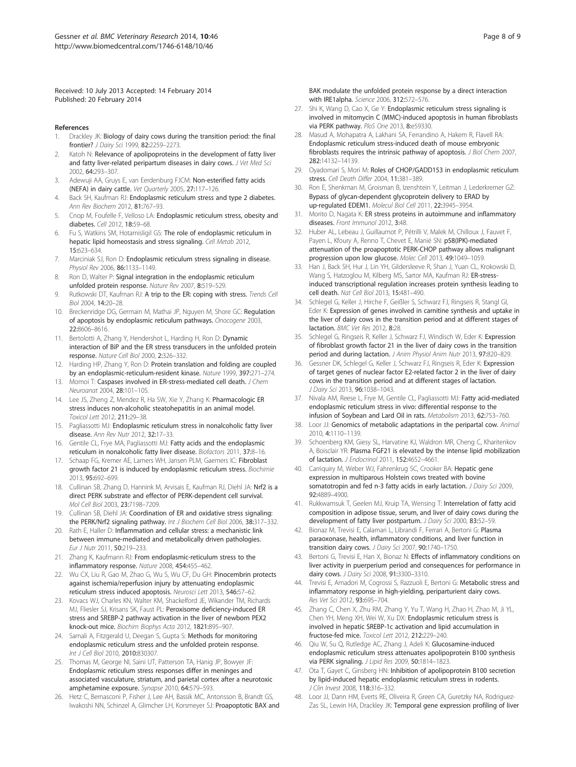<span id="page-7-0"></span>Received: 10 July 2013 Accepted: 14 February 2014 Published: 20 February 2014

#### References

- 1. Drackley JK: Biology of dairy cows during the transition period: the final frontier? J Dairy Sci 1999, 82:2259–2273.
- 2. Katoh N: Relevance of apolipoproteins in the development of fatty liver and fatty liver-related peripartum diseases in dairy cows. J Vet Med Sci 2002, 64:293–307.
- 3. Adewuji AA, Gruys E, van Eerdenburg FJCM: Non-esterified fatty acids (NEFA) in dairy cattle. Vet Quarterly 2005, 27:117–126.
- 4. Back SH, Kaufman RJ: Endoplasmic reticulum stress and type 2 diabetes. Ann Rev Biochem 2012, 81:767–93.
- 5. Cnop M, Foufelle F, Velloso LA: Endoplasmic reticulum stress, obesity and diabetes. Cell 2012, 18:59–68.
- 6. Fu S, Watkins SM, Hotamisligil GS: The role of endoplasmic reticulum in hepatic lipid homeostasis and stress signaling. Cell Metab 2012, 15:623–634.
- 7. Marciniak SJ, Ron D: Endoplasmic reticulum stress signaling in disease. Physiol Rev 2006, 86:1133-1149.
- 8. Ron D, Walter P: Signal integration in the endoplasmic reticulum unfolded protein response. Nature Rev 2007, 8:519–529.
- 9. Rutkowski DT, Kaufman RJ: A trip to the ER: coping with stress. Trends Cell Biol 2004, 14:20–28.
- 10. Breckenridge DG, Germain M, Mathai JP, Nguyen M, Shore GC: Regulation of apoptosis by endoplasmic reticulum pathways. Onocogene 2003, 22:8606–8616.
- 11. Bertolotti A, Zhang Y, Hendershot L, Harding H, Ron D: Dynamic interaction of BiP and the ER stress transducers in the unfolded protein response. Nature Cell Biol 2000, 2:326–332.
- 12. Harding HP, Zhang Y, Ron D: Protein translation and folding are coupled by an endoplasmic-reticulum-resident kinase. Nature 1999, 397:271–274.
- 13. Momoi T: Caspases involved in ER-stress-mediated cell death. J Chem Neuroanat 2004, 28:101–105.
- 14. Lee JS, Zheng Z, Mendez R, Ha SW, Xie Y, Zhang K: Pharmacologic ER stress induces non-alcoholic steatohepatitis in an animal model. Toxicol Lett 2012, 211:29–38.
- 15. Pagliassotti MJ: Endoplasmic reticulum stress in nonalcoholic fatty liver disease. Ann Rev Nutr 2012, 32:17–33.
- 16. Gentile CL, Frye MA, Pagliassotti MJ: Fatty acids and the endoplasmic reticulum in nonalcoholic fatty liver disease. Biofactors 2011, 37:8–16.
- 17. Schaap FG, Kremer AE, Lamers WH, Jansen PLM, Gaemers IC: Fibroblast growth factor 21 is induced by endoplasmic reticulum stress. Biochimie 2013, 95:692–699.
- 18. Cullinan SB, Zhang D, Hannink M, Arvisais E, Kaufman RJ, Diehl JA: Nrf2 is a direct PERK substrate and effector of PERK-dependent cell survival. Mol Cell Biol 2003, 23:7198–7209.
- 19. Cullinan SB, Diehl JA: Coordination of ER and oxidative stress signaling: the PERK/Nrf2 signaling pathway. Int J Biochem Cell Biol 2006, 38:317-332.
- 20. Rath E, Haller D: Inflammation and cellular stress: a mechanistic link between immune-mediated and metabolically driven pathologies. Eur J Nutr 2011, 50:219–233.
- 21. Zhang K, Kaufmann RJ: From endoplasmic-reticulum stress to the inflammatory response. Nature 2008, 454:455–462.
- 22. Wu CX, Liu R, Gao M, Zhao G, Wu S, Wu CF, Du GH: Pinocembrin protects against ischemia/reperfusion injury by attenuating endoplasmic reticulum stress induced apoptosis. Neurosci Lett 2013, 546:57–62.
- 23. Kovacs WJ, Charles KN, Walter KM, Shackelford JE, Wikander TM, Richards MJ, Fliesler SJ, Krisans SK, Faust PL: Peroxisome deficiency-induced ER stress and SREBP-2 pathway activation in the liver of newborn PEX2 knock-out mice. Biochim Biophys Acta 2012, 1821:895–907.
- 24. Samali A, Fitzgerald U, Deegan S, Gupta S: Methods for monitoring endoplasmic reticulum stress and the unfolded protein response. Int J Cell Biol 2010, 2010:830307.
- 25. Thomas M, George NI, Saini UT, Patterson TA, Hanig JP, Bowyer JF: Endoplasmic reticulum stress responses differ in meninges and associated vasculature, striatum, and parietal cortex after a neurotoxic amphetamine exposure. Synapse 2010, 64:579–593.
- 26. Hetz C, Bernasconi P, Fisher J, Lee AH, Bassik MC, Antonsson B, Brandt GS, Iwakoshi NN, Schinzel A, Glimcher LH, Korsmeyer SJ: Proapoptotic BAX and

BAK modulate the unfolded protein response by a direct interaction with IRE1alpha. Science 2006, 312:572–576.

- 27. Shi K, Wang D, Cao X, Ge Y: Endoplasmic reticulum stress signaling is involved in mitomycin C (MMC)-induced apoptosis in human fibroblasts via PERK pathway. PloS One 2013, 8:e59330.
- 28. Masud A, Mohapatra A, Lakhani SA, Ferrandino A, Hakem R, Flavell RA: Endoplasmic reticulum stress-induced death of mouse embryonic fibroblasts requires the intrinsic pathway of apoptosis. J Biol Chem 2007, 282:14132–14139.
- 29. Oyadomari S, Mori M: Roles of CHOP/GADD153 in endoplasmic reticulum stress. Cell Death Differ 2004, 11:381–389.
- 30. Ron E, Shenkman M, Groisman B, Izenshtein Y, Leitman J, Lederkremer GZ: Bypass of glycan-dependent glycoprotein delivery to ERAD by up-regulated EDEM1. Molecul Biol Cell 2011, 22:3945–3954.
- 31. Morito D, Nagata K: ER stress proteins in autoimmune and inflammatory diseases. Front Immunol 2012, 3:48.
- 32. Huber AL, Lebeau J, Guillaumot P, Pétrilli V, Malek M, Chilloux J, Fauvet F, Payen L, Kfoury A, Renno T, Chevet E, Manié SN: p58(IPK)-mediated attenuation of the proapoptotic PERK-CHOP pathway allows malignant progression upon low glucose. Molec Cell 2013, 49:1049–1059.
- 33. Han J, Back SH, Hur J, Lin YH, Gildersleeve R, Shan J, Yuan CL, Krokowski D, Wang S, Hatzoglou M, Kilberg MS, Sartor MA, Kaufman RJ: ER-stressinduced transcriptional regulation increases protein synthesis leading to cell death. Nat Cell Biol 2013, 15:481–490.
- Schlegel G, Keller J, Hirche F, Geißler S, Schwarz FJ, Ringseis R, Stangl GI, Eder K: Expression of genes involved in carnitine synthesis and uptake in the liver of dairy cows in the transition period and at different stages of lactation. BMC Vet Res 2012, 8:28.
- Schlegel G, Ringseis R, Keller J, Schwarz FJ, Windisch W, Eder K: Expression of fibroblast growth factor 21 in the liver of dairy cows in the transition period and during lactation. J Anim Physiol Anim Nutr 2013, 97:820–829.
- 36. Gessner DK, Schlegel G, Keller J, Schwarz FJ, Ringseis R, Eder K: Expression of target genes of nuclear factor E2-related factor 2 in the liver of dairy cows in the transition period and at different stages of lactation. J Dairy Sci 2013, 96:1038–1043.
- 37. Nivala AM, Reese L, Frye M, Gentile CL, Pagliassotti MJ: Fatty acid-mediated endoplasmic reticulum stress in vivo: differential response to the infusion of Soybean and Lard Oil in rats. Metabolism 2013, 62:753–760.
- 38. Loor JJ: Genomics of metabolic adaptations in the peripartal cow. Animal 2010, 4:1110–1139.
- 39. Schoenberg KM, Giesy SL, Harvatine KJ, Waldron MR, Cheng C, Kharitenkov A, Boisclair YR: Plasma FGF21 is elevated by the intense lipid mobilization of lactation. J Endocrinol 2011, 152:4652–4661.
- 40. Carriquiry M, Weber WJ, Fahrenkrug SC, Crooker BA: Hepatic gene expression in multiparous Holstein cows treated with bovine somatotropin and fed n-3 fatty acids in early lactation. J Dairy Sci 2009, 92:4889–4900.
- 41. Rukkwamsuk T, Geelen MJ, Kruip TA, Wensing T: Interrelation of fatty acid composition in adipose tissue, serum, and liver of dairy cows during the development of fatty liver postpartum. J Dairy Sci 2000, 83:52-59
- 42. Bionaz M, Trevisi E, Calamari L, Librandi F, Ferrari A, Bertoni G: Plasma paraoxonase, health, inflammatory conditions, and liver function in transition dairy cows. J Dairy Sci 2007, 90:1740-1750.
- 43. Bertoni G, Trevisi E, Han X, Bionaz N: Effects of inflammatory conditions on liver activity in puerperium period and consequences for performance in dairy cows. J Dairy Sci 2008, 91:3300-3310.
- Trevisi E, Amadori M, Cogrossi S, Razzuoli E, Bertoni G: Metabolic stress and inflammatory response in high-yielding, periparturient dairy cows. Res Vet Sci 2012, 93:695–704.
- 45. Zhang C, Chen X, Zhu RM, Zhang Y, Yu T, Wang H, Zhao H, Zhao M, Ji YL, Chen YH, Meng XH, Wei W, Xu DX: Endoplasmic reticulum stress is involved in hepatic SREBP-1c activation and lipid accumulation in fructose-fed mice. Toxicol Lett 2012, 212:229–240.
- 46. Qiu W, Su Q, Rutledge AC, Zhang J, Adeli K: Glucosamine-induced endoplasmic reticulum stress attenuates apolipoprotein B100 synthesis via PERK signaling. J Lipid Res 2009, 50:1814–1823.
- 47. Ota T, Gayet C, Ginsberg HN: Inhibition of apolipoprotein B100 secretion by lipid-induced hepatic endoplasmic reticulum stress in rodents. J Clin Invest 2008, 118:316–332.
- 48. Loor JJ, Dann HM, Everts RE, Oliveira R, Green CA, Guretzky NA, Rodriguez-Zas SL, Lewin HA, Drackley JK: Temporal gene expression profiling of liver